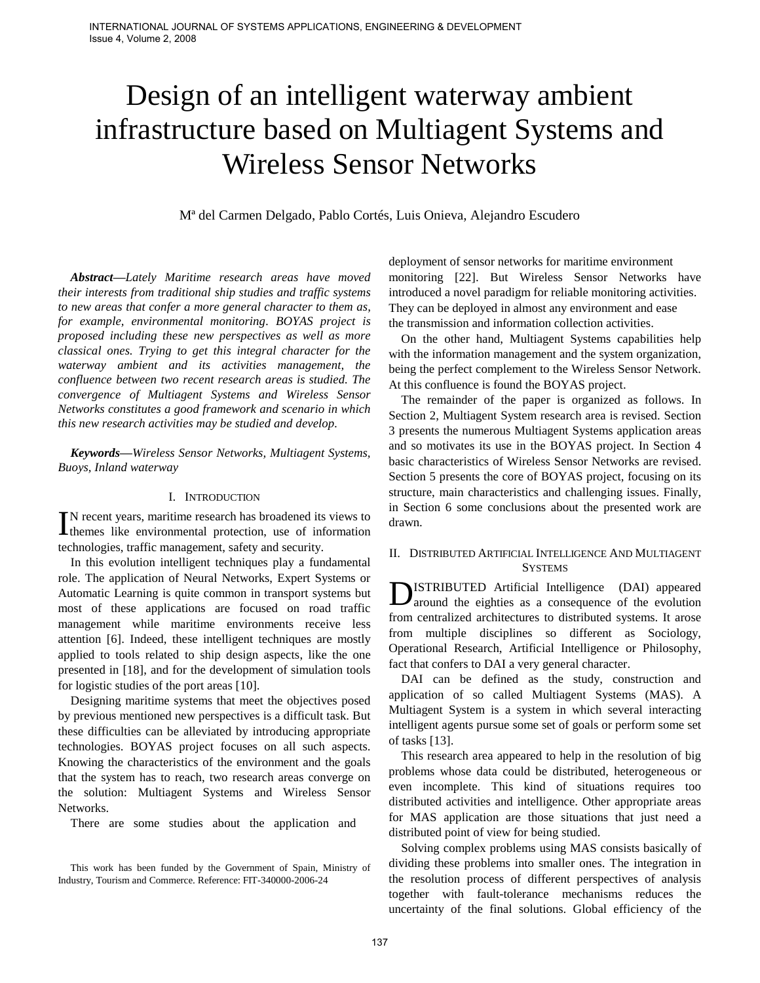# Design of an intelligent waterway ambient infrastructure based on Multiagent Systems and Wireless Sensor Networks

Mª del Carmen Delgado, Pablo Cortés, Luis Onieva, Alejandro Escudero

*Abstract***—***Lately Maritime research areas have moved their interests from traditional ship studies and traffic systems to new areas that confer a more general character to them as, for example, environmental monitoring. BOYAS project is proposed including these new perspectives as well as more classical ones. Trying to get this integral character for the waterway ambient and its activities management, the confluence between two recent research areas is studied. The convergence of Multiagent Systems and Wireless Sensor Networks constitutes a good framework and scenario in which this new research activities may be studied and develop.*

*Keywords***—***Wireless Sensor Networks, Multiagent Systems, Buoys, Inland waterway*

### I. INTRODUCTION

N recent years, maritime research has broadened its views to  $\prod$ N recent years, maritime research has broadened its views to themes like environmental protection, use of information technologies, traffic management, safety and security.

In this evolution intelligent techniques play a fundamental role. The application of Neural Networks, Expert Systems or Automatic Learning is quite common in transport systems but most of these applications are focused on road traffic management while maritime environments receive less attention [6]. Indeed, these intelligent techniques are mostly applied to tools related to ship design aspects, like the one presented in [18], and for the development of simulation tools for logistic studies of the port areas [10].

Designing maritime systems that meet the objectives posed by previous mentioned new perspectives is a difficult task. But these difficulties can be alleviated by introducing appropriate technologies. BOYAS project focuses on all such aspects. Knowing the characteristics of the environment and the goals that the system has to reach, two research areas converge on the solution: Multiagent Systems and Wireless Sensor Networks.

There are some studies about the application and

This work has been funded by the Government of Spain, Ministry of Industry, Tourism and Commerce. Reference: FIT-340000-2006-24

deployment of sensor networks for maritime environment monitoring [22]. But Wireless Sensor Networks have introduced a novel paradigm for reliable monitoring activities. They can be deployed in almost any environment and ease the transmission and information collection activities.

On the other hand, Multiagent Systems capabilities help with the information management and the system organization, being the perfect complement to the Wireless Sensor Network. At this confluence is found the BOYAS project.

The remainder of the paper is organized as follows. In Section 2, Multiagent System research area is revised. Section 3 presents the numerous Multiagent Systems application areas and so motivates its use in the BOYAS project. In Section 4 basic characteristics of Wireless Sensor Networks are revised. Section 5 presents the core of BOYAS project, focusing on its structure, main characteristics and challenging issues. Finally, in Section 6 some conclusions about the presented work are drawn.

## II. DISTRIBUTED ARTIFICIAL INTELLIGENCE AND MULTIAGENT **SYSTEMS**

**D**ISTRIBUTED Artificial Intelligence (DAI) appeared around the eighties as a consequence of the evolution around the eighties as a consequence of the evolution from centralized architectures to distributed systems. It arose from multiple disciplines so different as Sociology, Operational Research, Artificial Intelligence or Philosophy, fact that confers to DAI a very general character.

DAI can be defined as the study, construction and application of so called Multiagent Systems (MAS). A Multiagent System is a system in which several interacting intelligent agents pursue some set of goals or perform some set of tasks [13].

This research area appeared to help in the resolution of big problems whose data could be distributed, heterogeneous or even incomplete. This kind of situations requires too distributed activities and intelligence. Other appropriate areas for MAS application are those situations that just need a distributed point of view for being studied.

Solving complex problems using MAS consists basically of dividing these problems into smaller ones. The integration in the resolution process of different perspectives of analysis together with fault-tolerance mechanisms reduces the uncertainty of the final solutions. Global efficiency of the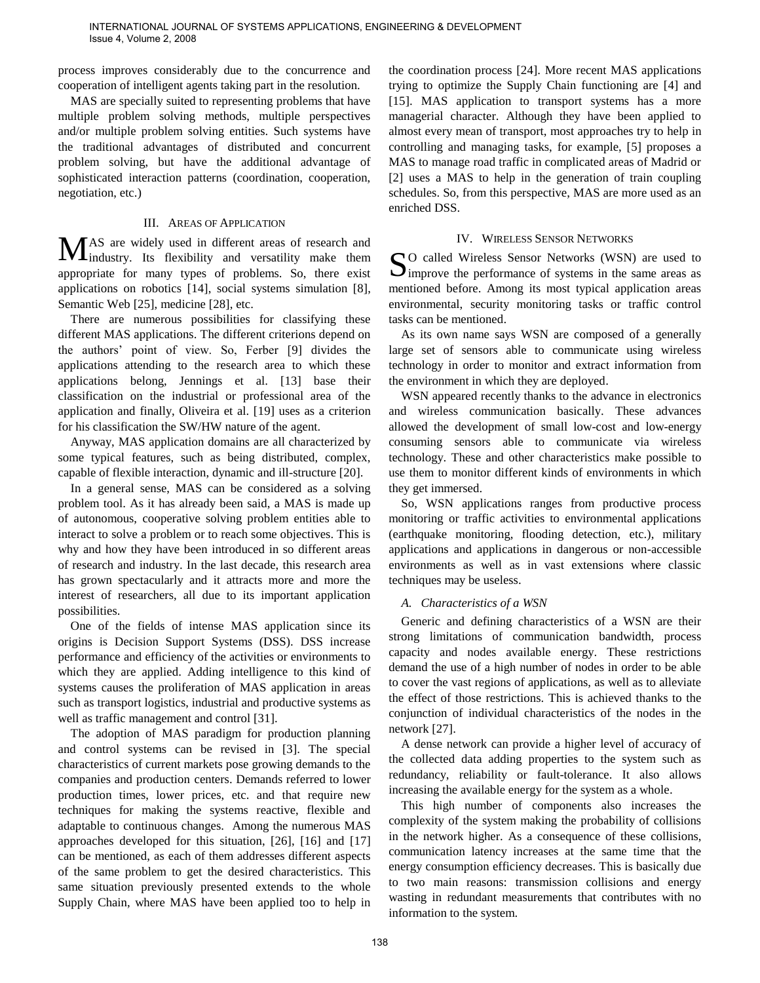process improves considerably due to the concurrence and cooperation of intelligent agents taking part in the resolution.

MAS are specially suited to representing problems that have multiple problem solving methods, multiple perspectives and/or multiple problem solving entities. Such systems have the traditional advantages of distributed and concurrent problem solving, but have the additional advantage of sophisticated interaction patterns (coordination, cooperation, negotiation, etc.)

## III. AREAS OF APPLICATION

AS are widely used in different areas of research and industry. Its flexibility and versatility make them appropriate for many types of problems. So, there exist applications on robotics [14], social systems simulation [8], Semantic Web [25], medicine [28], etc. MAS are widely used in different areas of research and<br>appropriate for many types of problems. So, there exist S

There are numerous possibilities for classifying these different MAS applications. The different criterions depend on the authors' point of view. So, Ferber [9] divides the applications attending to the research area to which these applications belong, Jennings et al. [13] base their classification on the industrial or professional area of the application and finally, Oliveira et al. [19] uses as a criterion for his classification the SW/HW nature of the agent.

Anyway, MAS application domains are all characterized by some typical features, such as being distributed, complex, capable of flexible interaction, dynamic and ill-structure [20].

In a general sense, MAS can be considered as a solving problem tool. As it has already been said, a MAS is made up of autonomous, cooperative solving problem entities able to interact to solve a problem or to reach some objectives. This is why and how they have been introduced in so different areas of research and industry. In the last decade, this research area has grown spectacularly and it attracts more and more the interest of researchers, all due to its important application possibilities.

One of the fields of intense MAS application since its origins is Decision Support Systems (DSS). DSS increase performance and efficiency of the activities or environments to which they are applied. Adding intelligence to this kind of systems causes the proliferation of MAS application in areas such as transport logistics, industrial and productive systems as well as traffic management and control [31].

The adoption of MAS paradigm for production planning and control systems can be revised in [3]. The special characteristics of current markets pose growing demands to the companies and production centers. Demands referred to lower production times, lower prices, etc. and that require new techniques for making the systems reactive, flexible and adaptable to continuous changes. Among the numerous MAS approaches developed for this situation, [26], [16] and [17] can be mentioned, as each of them addresses different aspects of the same problem to get the desired characteristics. This same situation previously presented extends to the whole Supply Chain, where MAS have been applied too to help in

the coordination process [24]. More recent MAS applications trying to optimize the Supply Chain functioning are [4] and [15]. MAS application to transport systems has a more managerial character. Although they have been applied to almost every mean of transport, most approaches try to help in controlling and managing tasks, for example, [5] proposes a MAS to manage road traffic in complicated areas of Madrid or [2] uses a MAS to help in the generation of train coupling schedules. So, from this perspective, MAS are more used as an enriched DSS.

## IV. WIRELESS SENSOR NETWORKS

O called Wireless Sensor Networks (WSN) are used to  $\bigcup$  improve the performance of systems in the same areas as mentioned before. Among its most typical application areas environmental, security monitoring tasks or traffic control tasks can be mentioned.

As its own name says WSN are composed of a generally large set of sensors able to communicate using wireless technology in order to monitor and extract information from the environment in which they are deployed.

WSN appeared recently thanks to the advance in electronics and wireless communication basically. These advances allowed the development of small low-cost and low-energy consuming sensors able to communicate via wireless technology. These and other characteristics make possible to use them to monitor different kinds of environments in which they get immersed.

So, WSN applications ranges from productive process monitoring or traffic activities to environmental applications (earthquake monitoring, flooding detection, etc.), military applications and applications in dangerous or non-accessible environments as well as in vast extensions where classic techniques may be useless.

## *A. Characteristics of a WSN*

Generic and defining characteristics of a WSN are their strong limitations of communication bandwidth, process capacity and nodes available energy. These restrictions demand the use of a high number of nodes in order to be able to cover the vast regions of applications, as well as to alleviate the effect of those restrictions. This is achieved thanks to the conjunction of individual characteristics of the nodes in the network [27].

A dense network can provide a higher level of accuracy of the collected data adding properties to the system such as redundancy, reliability or fault-tolerance. It also allows increasing the available energy for the system as a whole.

This high number of components also increases the complexity of the system making the probability of collisions in the network higher. As a consequence of these collisions, communication latency increases at the same time that the energy consumption efficiency decreases. This is basically due to two main reasons: transmission collisions and energy wasting in redundant measurements that contributes with no information to the system.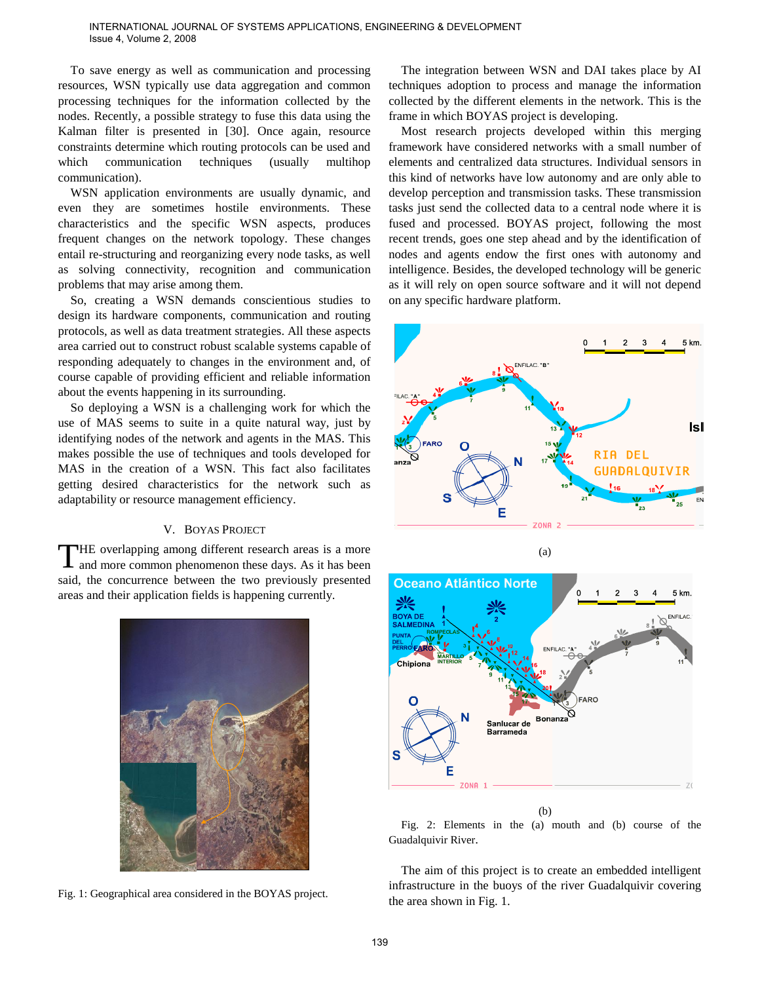#### INTERNATIONAL JOURNAL OF SYSTEMS APPLICATIONS, ENGINEERING & DEVELOPMENT Issue 4, Volume 2, 2008

To save energy as well as communication and processing resources, WSN typically use data aggregation and common processing techniques for the information collected by the nodes. Recently, a possible strategy to fuse this data using the Kalman filter is presented in [30]. Once again, resource constraints determine which routing protocols can be used and which communication techniques (usually multihop communication).

WSN application environments are usually dynamic, and even they are sometimes hostile environments. These characteristics and the specific WSN aspects, produces frequent changes on the network topology. These changes entail re-structuring and reorganizing every node tasks, as well as solving connectivity, recognition and communication problems that may arise among them.

So, creating a WSN demands conscientious studies to design its hardware components, communication and routing protocols, as well as data treatment strategies. All these aspects area carried out to construct robust scalable systems capable of responding adequately to changes in the environment and, of course capable of providing efficient and reliable information about the events happening in its surrounding.

So deploying a WSN is a challenging work for which the use of MAS seems to suite in a quite natural way, just by identifying nodes of the network and agents in the MAS. This makes possible the use of techniques and tools developed for MAS in the creation of a WSN. This fact also facilitates getting desired characteristics for the network such as adaptability or resource management efficiency.

## V. BOYAS PROJECT

HE overlapping among different research areas is a more and more common phenomenon these days. As it has been said, the concurrence between the two previously presented areas and their application fields is happening currently. T



Fig. 1: Geographical area considered in the BOYAS project.

The integration between WSN and DAI takes place by AI techniques adoption to process and manage the information collected by the different elements in the network. This is the frame in which BOYAS project is developing.

Most research projects developed within this merging framework have considered networks with a small number of elements and centralized data structures. Individual sensors in this kind of networks have low autonomy and are only able to develop perception and transmission tasks. These transmission tasks just send the collected data to a central node where it is fused and processed. BOYAS project, following the most recent trends, goes one step ahead and by the identification of nodes and agents endow the first ones with autonomy and intelligence. Besides, the developed technology will be generic as it will rely on open source software and it will not depend on any specific hardware platform.



Fig. 2: Elements in the (a) mouth and (b) course of the Guadalquivir River.

The aim of this project is to create an embedded intelligent infrastructure in the buoys of the river Guadalquivir covering the area shown in Fig. 1.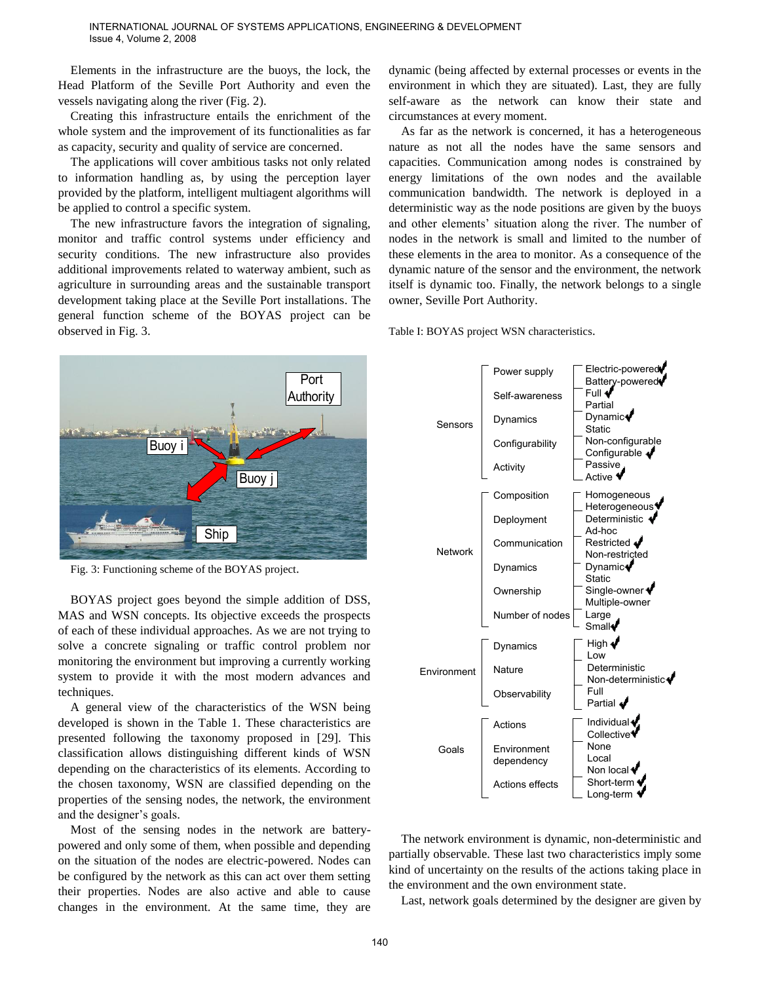Elements in the infrastructure are the buoys, the lock, the Head Platform of the Seville Port Authority and even the vessels navigating along the river (Fig. 2).

Creating this infrastructure entails the enrichment of the whole system and the improvement of its functionalities as far as capacity, security and quality of service are concerned.

The applications will cover ambitious tasks not only related to information handling as, by using the perception layer provided by the platform, intelligent multiagent algorithms will be applied to control a specific system.

The new infrastructure favors the integration of signaling, monitor and traffic control systems under efficiency and security conditions. The new infrastructure also provides additional improvements related to waterway ambient, such as agriculture in surrounding areas and the sustainable transport development taking place at the Seville Port installations. The general function scheme of the BOYAS project can be observed in Fig. 3.



Fig. 3: Functioning scheme of the BOYAS project.

BOYAS project goes beyond the simple addition of DSS, MAS and WSN concepts. Its objective exceeds the prospects of each of these individual approaches. As we are not trying to solve a concrete signaling or traffic control problem nor monitoring the environment but improving a currently working system to provide it with the most modern advances and techniques.

A general view of the characteristics of the WSN being developed is shown in the Table 1. These characteristics are presented following the taxonomy proposed in [29]. This classification allows distinguishing different kinds of WSN depending on the characteristics of its elements. According to the chosen taxonomy, WSN are classified depending on the properties of the sensing nodes, the network, the environment and the designer's goals.

Most of the sensing nodes in the network are batterypowered and only some of them, when possible and depending on the situation of the nodes are electric-powered. Nodes can be configured by the network as this can act over them setting their properties. Nodes are also active and able to cause changes in the environment. At the same time, they are

dynamic (being affected by external processes or events in the environment in which they are situated). Last, they are fully self-aware as the network can know their state and circumstances at every moment.

As far as the network is concerned, it has a heterogeneous nature as not all the nodes have the same sensors and capacities. Communication among nodes is constrained by energy limitations of the own nodes and the available communication bandwidth. The network is deployed in a deterministic way as the node positions are given by the buoys and other elements' situation along the river. The number of nodes in the network is small and limited to the number of these elements in the area to monitor. As a consequence of the dynamic nature of the sensor and the environment, the network itself is dynamic too. Finally, the network belongs to a single owner, Seville Port Authority.





The network environment is dynamic, non-deterministic and partially observable. These last two characteristics imply some kind of uncertainty on the results of the actions taking place in the environment and the own environment state.

Last, network goals determined by the designer are given by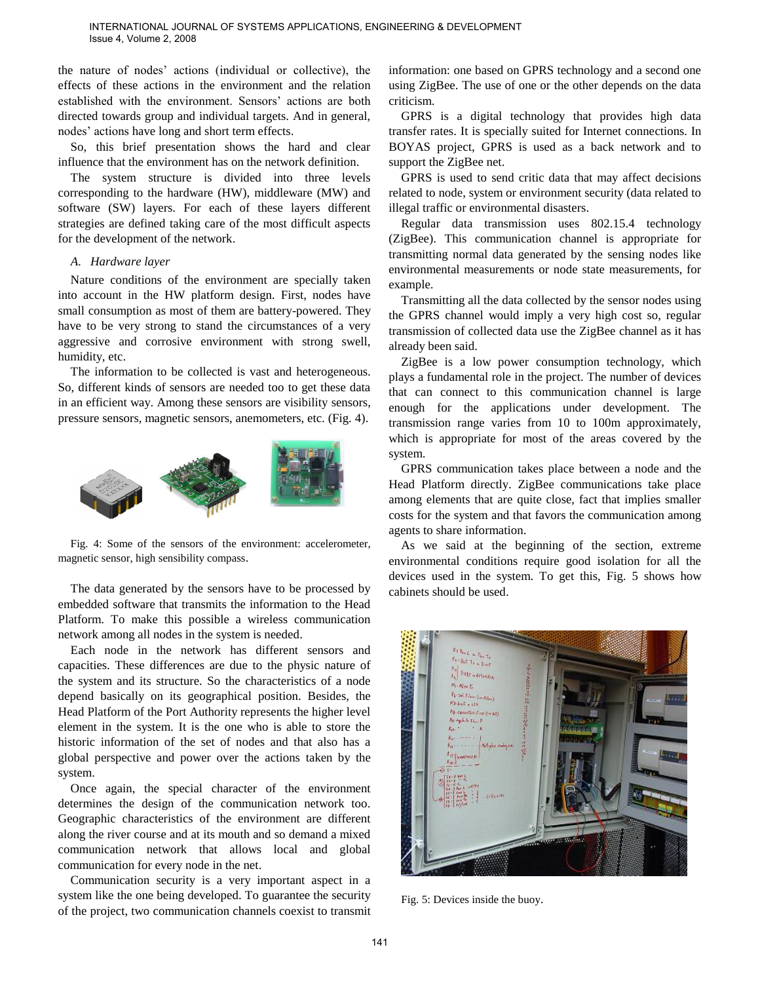the nature of nodes' actions (individual or collective), the effects of these actions in the environment and the relation established with the environment. Sensors' actions are both directed towards group and individual targets. And in general, nodes' actions have long and short term effects.

So, this brief presentation shows the hard and clear influence that the environment has on the network definition.

The system structure is divided into three levels corresponding to the hardware (HW), middleware (MW) and software (SW) layers. For each of these layers different strategies are defined taking care of the most difficult aspects for the development of the network.

#### *A. Hardware layer*

Nature conditions of the environment are specially taken into account in the HW platform design. First, nodes have small consumption as most of them are battery-powered. They have to be very strong to stand the circumstances of a very aggressive and corrosive environment with strong swell, humidity, etc.

The information to be collected is vast and heterogeneous. So, different kinds of sensors are needed too to get these data in an efficient way. Among these sensors are visibility sensors, pressure sensors, magnetic sensors, anemometers, etc. (Fig. 4).



Fig. 4: Some of the sensors of the environment: accelerometer, magnetic sensor, high sensibility compass.

The data generated by the sensors have to be processed by embedded software that transmits the information to the Head Platform. To make this possible a wireless communication network among all nodes in the system is needed.

Each node in the network has different sensors and capacities. These differences are due to the physic nature of the system and its structure. So the characteristics of a node depend basically on its geographical position. Besides, the Head Platform of the Port Authority represents the higher level element in the system. It is the one who is able to store the historic information of the set of nodes and that also has a global perspective and power over the actions taken by the system.

Once again, the special character of the environment determines the design of the communication network too. Geographic characteristics of the environment are different along the river course and at its mouth and so demand a mixed communication network that allows local and global communication for every node in the net.

Communication security is a very important aspect in a system like the one being developed. To guarantee the security of the project, two communication channels coexist to transmit

information: one based on GPRS technology and a second one using ZigBee. The use of one or the other depends on the data criticism.

GPRS is a digital technology that provides high data transfer rates. It is specially suited for Internet connections. In BOYAS project, GPRS is used as a back network and to support the ZigBee net.

GPRS is used to send critic data that may affect decisions related to node, system or environment security (data related to illegal traffic or environmental disasters.

Regular data transmission uses 802.15.4 technology (ZigBee). This communication channel is appropriate for transmitting normal data generated by the sensing nodes like environmental measurements or node state measurements, for example.

Transmitting all the data collected by the sensor nodes using the GPRS channel would imply a very high cost so, regular transmission of collected data use the ZigBee channel as it has already been said.

ZigBee is a low power consumption technology, which plays a fundamental role in the project. The number of devices that can connect to this communication channel is large enough for the applications under development. The transmission range varies from 10 to 100m approximately, which is appropriate for most of the areas covered by the system.

GPRS communication takes place between a node and the Head Platform directly. ZigBee communications take place among elements that are quite close, fact that implies smaller costs for the system and that favors the communication among agents to share information.

As we said at the beginning of the section, extreme environmental conditions require good isolation for all the devices used in the system. To get this, Fig. 5 shows how cabinets should be used.



Fig. 5: Devices inside the buoy.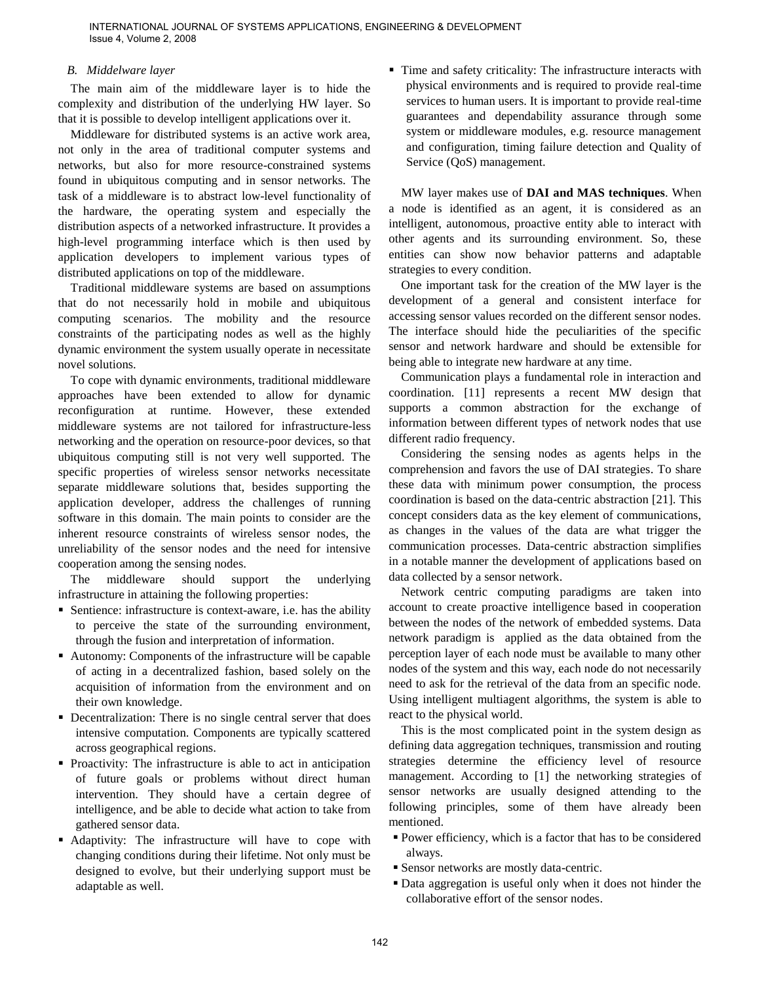## *B. Middelware layer*

The main aim of the middleware layer is to hide the complexity and distribution of the underlying HW layer. So that it is possible to develop intelligent applications over it.

Middleware for distributed systems is an active work area, not only in the area of traditional computer systems and networks, but also for more resource-constrained systems found in ubiquitous computing and in sensor networks. The task of a middleware is to abstract low-level functionality of the hardware, the operating system and especially the distribution aspects of a networked infrastructure. It provides a high-level programming interface which is then used by application developers to implement various types of distributed applications on top of the middleware.

Traditional middleware systems are based on assumptions that do not necessarily hold in mobile and ubiquitous computing scenarios. The mobility and the resource constraints of the participating nodes as well as the highly dynamic environment the system usually operate in necessitate novel solutions.

To cope with dynamic environments, traditional middleware approaches have been extended to allow for dynamic reconfiguration at runtime. However, these extended middleware systems are not tailored for infrastructure-less networking and the operation on resource-poor devices, so that ubiquitous computing still is not very well supported. The specific properties of wireless sensor networks necessitate separate middleware solutions that, besides supporting the application developer, address the challenges of running software in this domain. The main points to consider are the inherent resource constraints of wireless sensor nodes, the unreliability of the sensor nodes and the need for intensive cooperation among the sensing nodes.

The middleware should support the underlying infrastructure in attaining the following properties:

- Sentience: infrastructure is context-aware, i.e. has the ability to perceive the state of the surrounding environment, through the fusion and interpretation of information.
- Autonomy: Components of the infrastructure will be capable of acting in a decentralized fashion, based solely on the acquisition of information from the environment and on their own knowledge.
- Decentralization: There is no single central server that does intensive computation. Components are typically scattered across geographical regions.
- Proactivity: The infrastructure is able to act in anticipation of future goals or problems without direct human intervention. They should have a certain degree of intelligence, and be able to decide what action to take from gathered sensor data.
- Adaptivity: The infrastructure will have to cope with changing conditions during their lifetime. Not only must be designed to evolve, but their underlying support must be adaptable as well.

 Time and safety criticality: The infrastructure interacts with physical environments and is required to provide real-time services to human users. It is important to provide real-time guarantees and dependability assurance through some system or middleware modules, e.g. resource management and configuration, timing failure detection and Quality of Service (QoS) management.

MW layer makes use of **DAI and MAS techniques**. When a node is identified as an agent, it is considered as an intelligent, autonomous, proactive entity able to interact with other agents and its surrounding environment. So, these entities can show now behavior patterns and adaptable strategies to every condition.

One important task for the creation of the MW layer is the development of a general and consistent interface for accessing sensor values recorded on the different sensor nodes. The interface should hide the peculiarities of the specific sensor and network hardware and should be extensible for being able to integrate new hardware at any time.

Communication plays a fundamental role in interaction and coordination. [11] represents a recent MW design that supports a common abstraction for the exchange of information between different types of network nodes that use different radio frequency.

Considering the sensing nodes as agents helps in the comprehension and favors the use of DAI strategies. To share these data with minimum power consumption, the process coordination is based on the data-centric abstraction [21]. This concept considers data as the key element of communications, as changes in the values of the data are what trigger the communication processes. Data-centric abstraction simplifies in a notable manner the development of applications based on data collected by a sensor network.

Network centric computing paradigms are taken into account to create proactive intelligence based in cooperation between the nodes of the network of embedded systems. Data network paradigm is applied as the data obtained from the perception layer of each node must be available to many other nodes of the system and this way, each node do not necessarily need to ask for the retrieval of the data from an specific node. Using intelligent multiagent algorithms, the system is able to react to the physical world.

This is the most complicated point in the system design as defining data aggregation techniques, transmission and routing strategies determine the efficiency level of resource management. According to [1] the networking strategies of sensor networks are usually designed attending to the following principles, some of them have already been mentioned.

- Power efficiency, which is a factor that has to be considered always.
- Sensor networks are mostly data-centric.
- Data aggregation is useful only when it does not hinder the collaborative effort of the sensor nodes.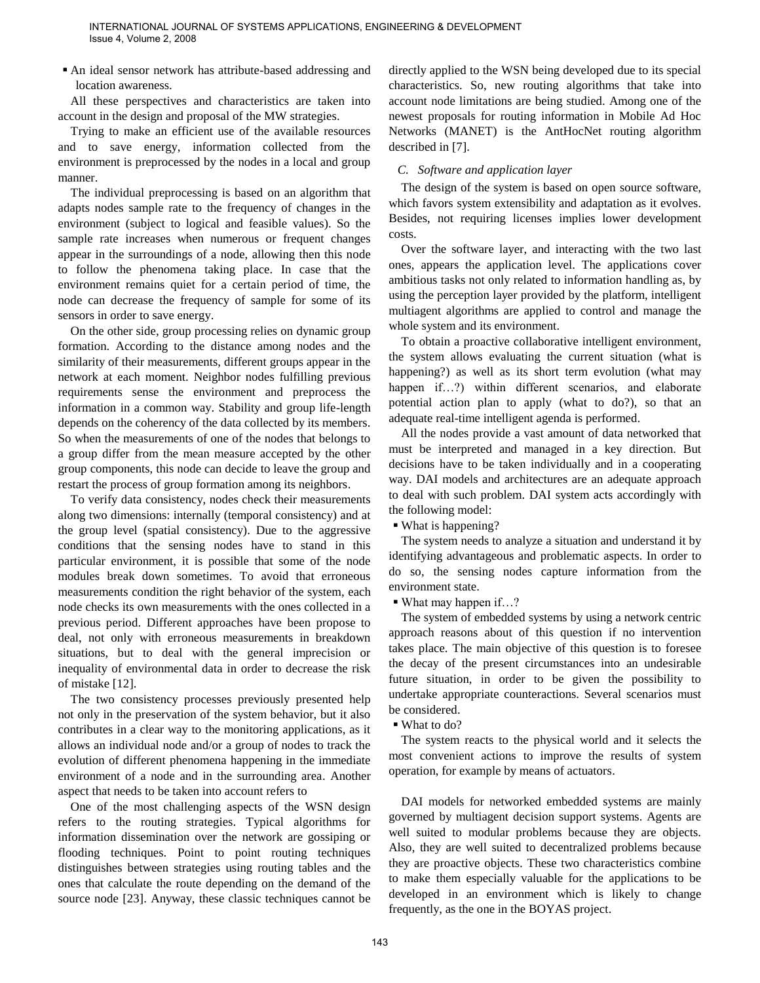An ideal sensor network has attribute-based addressing and location awareness.

All these perspectives and characteristics are taken into account in the design and proposal of the MW strategies.

Trying to make an efficient use of the available resources and to save energy, information collected from the environment is preprocessed by the nodes in a local and group manner.

The individual preprocessing is based on an algorithm that adapts nodes sample rate to the frequency of changes in the environment (subject to logical and feasible values). So the sample rate increases when numerous or frequent changes appear in the surroundings of a node, allowing then this node to follow the phenomena taking place. In case that the environment remains quiet for a certain period of time, the node can decrease the frequency of sample for some of its sensors in order to save energy.

On the other side, group processing relies on dynamic group formation. According to the distance among nodes and the similarity of their measurements, different groups appear in the network at each moment. Neighbor nodes fulfilling previous requirements sense the environment and preprocess the information in a common way. Stability and group life-length depends on the coherency of the data collected by its members. So when the measurements of one of the nodes that belongs to a group differ from the mean measure accepted by the other group components, this node can decide to leave the group and restart the process of group formation among its neighbors.

To verify data consistency, nodes check their measurements along two dimensions: internally (temporal consistency) and at the group level (spatial consistency). Due to the aggressive conditions that the sensing nodes have to stand in this particular environment, it is possible that some of the node modules break down sometimes. To avoid that erroneous measurements condition the right behavior of the system, each node checks its own measurements with the ones collected in a previous period. Different approaches have been propose to deal, not only with erroneous measurements in breakdown situations, but to deal with the general imprecision or inequality of environmental data in order to decrease the risk of mistake [12].

The two consistency processes previously presented help not only in the preservation of the system behavior, but it also contributes in a clear way to the monitoring applications, as it allows an individual node and/or a group of nodes to track the evolution of different phenomena happening in the immediate environment of a node and in the surrounding area. Another aspect that needs to be taken into account refers to

One of the most challenging aspects of the WSN design refers to the routing strategies. Typical algorithms for information dissemination over the network are gossiping or flooding techniques. Point to point routing techniques distinguishes between strategies using routing tables and the ones that calculate the route depending on the demand of the source node [23]. Anyway, these classic techniques cannot be

directly applied to the WSN being developed due to its special characteristics. So, new routing algorithms that take into account node limitations are being studied. Among one of the newest proposals for routing information in Mobile Ad Hoc Networks (MANET) is the AntHocNet routing algorithm described in [7].

## *C. Software and application layer*

The design of the system is based on open source software, which favors system extensibility and adaptation as it evolves. Besides, not requiring licenses implies lower development costs.

Over the software layer, and interacting with the two last ones, appears the application level. The applications cover ambitious tasks not only related to information handling as, by using the perception layer provided by the platform, intelligent multiagent algorithms are applied to control and manage the whole system and its environment.

To obtain a proactive collaborative intelligent environment, the system allows evaluating the current situation (what is happening?) as well as its short term evolution (what may happen if...?) within different scenarios, and elaborate potential action plan to apply (what to do?), so that an adequate real-time intelligent agenda is performed.

All the nodes provide a vast amount of data networked that must be interpreted and managed in a key direction. But decisions have to be taken individually and in a cooperating way. DAI models and architectures are an adequate approach to deal with such problem. DAI system acts accordingly with the following model:

What is happening?

The system needs to analyze a situation and understand it by identifying advantageous and problematic aspects. In order to do so, the sensing nodes capture information from the environment state.

■ What may happen if…?

The system of embedded systems by using a network centric approach reasons about of this question if no intervention takes place. The main objective of this question is to foresee the decay of the present circumstances into an undesirable future situation, in order to be given the possibility to undertake appropriate counteractions. Several scenarios must be considered.

■ What to do?

The system reacts to the physical world and it selects the most convenient actions to improve the results of system operation, for example by means of actuators.

DAI models for networked embedded systems are mainly governed by multiagent decision support systems. Agents are well suited to modular problems because they are objects. Also, they are well suited to decentralized problems because they are proactive objects. These two characteristics combine to make them especially valuable for the applications to be developed in an environment which is likely to change frequently, as the one in the BOYAS project.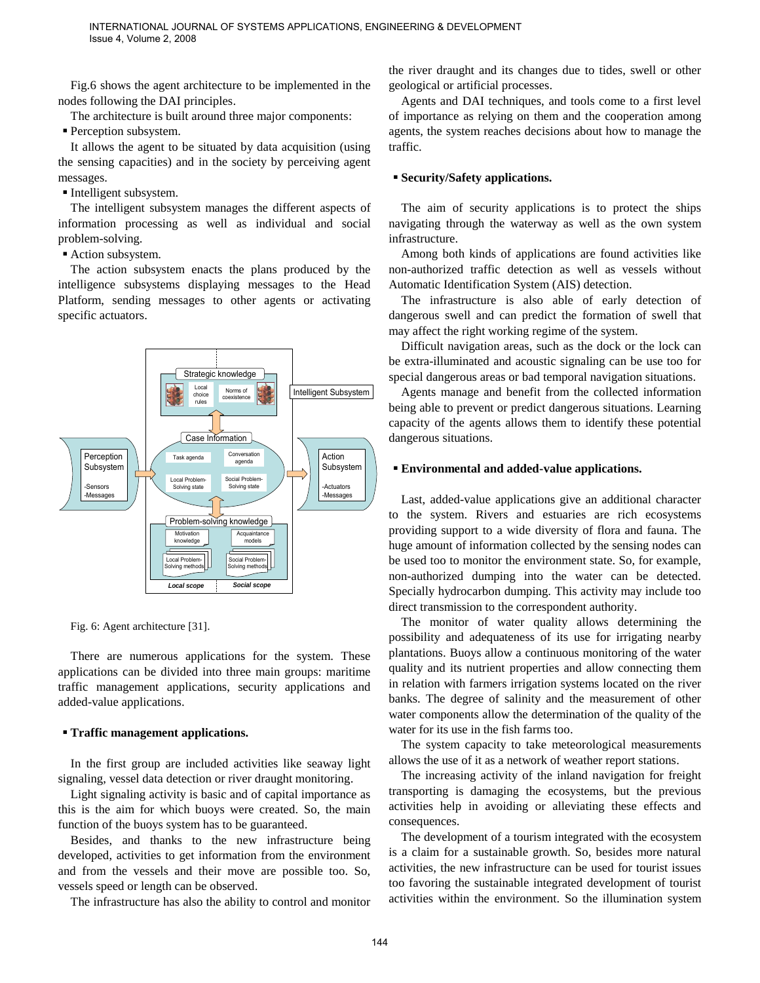Fig.6 shows the agent architecture to be implemented in the nodes following the DAI principles.

The architecture is built around three major components:

Perception subsystem.

It allows the agent to be situated by data acquisition (using the sensing capacities) and in the society by perceiving agent messages.

Intelligent subsystem.

The intelligent subsystem manages the different aspects of information processing as well as individual and social problem-solving.

■ Action subsystem.

The action subsystem enacts the plans produced by the intelligence subsystems displaying messages to the Head Platform, sending messages to other agents or activating specific actuators.



Fig. 6: Agent architecture [31].

There are numerous applications for the system. These applications can be divided into three main groups: maritime traffic management applications, security applications and added-value applications.

#### **Traffic management applications.**

In the first group are included activities like seaway light signaling, vessel data detection or river draught monitoring.

Light signaling activity is basic and of capital importance as this is the aim for which buoys were created. So, the main function of the buoys system has to be guaranteed.

Besides, and thanks to the new infrastructure being developed, activities to get information from the environment and from the vessels and their move are possible too. So, vessels speed or length can be observed.

The infrastructure has also the ability to control and monitor

the river draught and its changes due to tides, swell or other geological or artificial processes.

Agents and DAI techniques, and tools come to a first level of importance as relying on them and the cooperation among agents, the system reaches decisions about how to manage the traffic.

#### **Security/Safety applications.**

The aim of security applications is to protect the ships navigating through the waterway as well as the own system infrastructure.

Among both kinds of applications are found activities like non-authorized traffic detection as well as vessels without Automatic Identification System (AIS) detection.

The infrastructure is also able of early detection of dangerous swell and can predict the formation of swell that may affect the right working regime of the system.

Difficult navigation areas, such as the dock or the lock can be extra-illuminated and acoustic signaling can be use too for special dangerous areas or bad temporal navigation situations.

Agents manage and benefit from the collected information being able to prevent or predict dangerous situations. Learning capacity of the agents allows them to identify these potential dangerous situations.

#### **Environmental and added-value applications.**

Last, added-value applications give an additional character to the system. Rivers and estuaries are rich ecosystems providing support to a wide diversity of flora and fauna. The huge amount of information collected by the sensing nodes can be used too to monitor the environment state. So, for example, non-authorized dumping into the water can be detected. Specially hydrocarbon dumping. This activity may include too direct transmission to the correspondent authority.

The monitor of water quality allows determining the possibility and adequateness of its use for irrigating nearby plantations. Buoys allow a continuous monitoring of the water quality and its nutrient properties and allow connecting them in relation with farmers irrigation systems located on the river banks. The degree of salinity and the measurement of other water components allow the determination of the quality of the water for its use in the fish farms too.

The system capacity to take meteorological measurements allows the use of it as a network of weather report stations.

The increasing activity of the inland navigation for freight transporting is damaging the ecosystems, but the previous activities help in avoiding or alleviating these effects and consequences.

The development of a tourism integrated with the ecosystem is a claim for a sustainable growth. So, besides more natural activities, the new infrastructure can be used for tourist issues too favoring the sustainable integrated development of tourist activities within the environment. So the illumination system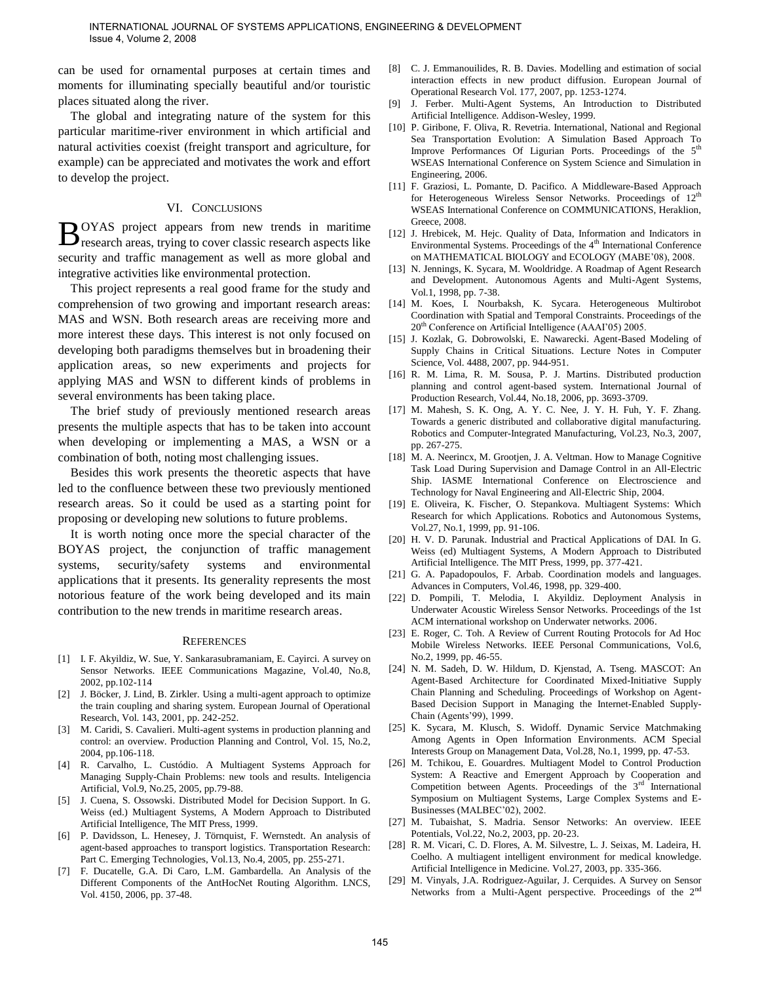can be used for ornamental purposes at certain times and moments for illuminating specially beautiful and/or touristic places situated along the river.

The global and integrating nature of the system for this particular maritime-river environment in which artificial and natural activities coexist (freight transport and agriculture, for example) can be appreciated and motivates the work and effort to develop the project.

#### VI. CONCLUSIONS

OYAS project appears from new trends in maritime  $B^{OYAS}$  project appears from new trends in maritime research areas, trying to cover classic research aspects like security and traffic management as well as more global and integrative activities like environmental protection.

This project represents a real good frame for the study and comprehension of two growing and important research areas: MAS and WSN. Both research areas are receiving more and more interest these days. This interest is not only focused on developing both paradigms themselves but in broadening their application areas, so new experiments and projects for applying MAS and WSN to different kinds of problems in several environments has been taking place.

The brief study of previously mentioned research areas presents the multiple aspects that has to be taken into account when developing or implementing a MAS, a WSN or a combination of both, noting most challenging issues.

Besides this work presents the theoretic aspects that have led to the confluence between these two previously mentioned research areas. So it could be used as a starting point for proposing or developing new solutions to future problems.

It is worth noting once more the special character of the BOYAS project, the conjunction of traffic management systems, security/safety systems and environmental applications that it presents. Its generality represents the most notorious feature of the work being developed and its main contribution to the new trends in maritime research areas.

#### **REFERENCES**

- [1] I. F. Akyildiz, W. Sue, Y. Sankarasubramaniam, E. Cayirci. A survey on Sensor Networks. IEEE Communications Magazine, Vol.40, No.8, 2002, pp.102-114
- [2] J. Böcker, J. Lind, B. Zirkler. Using a multi-agent approach to optimize the train coupling and sharing system. European Journal of Operational Research, Vol. 143, 2001, pp. 242-252.
- M. Caridi, S. Cavalieri. Multi-agent systems in production planning and control: an overview. Production Planning and Control, Vol. 15, No.2, 2004, pp.106-118.
- [4] R. Carvalho, L. Custódio. A Multiagent Systems Approach for Managing Supply-Chain Problems: new tools and results. Inteligencia Artificial, Vol.9, No.25, 2005, pp.79-88.
- [5] J. Cuena, S. Ossowski. Distributed Model for Decision Support. In G. Weiss (ed.) Multiagent Systems, A Modern Approach to Distributed Artificial Intelligence, The MIT Press, 1999.
- [6] P. Davidsson, L. Henesey, J. Törnquist, F. Wernstedt. An analysis of agent-based approaches to transport logistics. Transportation Research: Part C. Emerging Technologies, Vol.13, No.4, 2005, pp. 255-271.
- [7] F. Ducatelle, G.A. Di Caro, L.M. Gambardella. An Analysis of the Different Components of the AntHocNet Routing Algorithm. LNCS, Vol. 4150, 2006, pp. 37-48.
- [8] C. J. Emmanouilides, R. B. Davies. Modelling and estimation of social interaction effects in new product diffusion. European Journal of Operational Research Vol. 177, 2007, pp. 1253-1274.
- [9] J. Ferber. Multi-Agent Systems, An Introduction to Distributed Artificial Intelligence. Addison-Wesley, 1999.
- [10] P. Giribone, F. Oliva, R. Revetria. International, National and Regional Sea Transportation Evolution: A Simulation Based Approach To Improve Performances Of Ligurian Ports. Proceedings of the  $5<sup>th</sup>$ WSEAS International Conference on System Science and Simulation in Engineering, 2006.
- [11] F. Graziosi, L. Pomante, D. Pacifico. A Middleware-Based Approach for Heterogeneous Wireless Sensor Networks. Proceedings of 12<sup>th</sup> WSEAS International Conference on COMMUNICATIONS, Heraklion, Greece, 2008.
- [12] J. Hrebicek, M. Hejc. Quality of Data, Information and Indicators in Environmental Systems. Proceedings of the  $4<sup>th</sup>$  International Conference on MATHEMATICAL BIOLOGY and ECOLOGY (MABE'08), 2008.
- [13] N. Jennings, K. Sycara, M. Wooldridge. A Roadmap of Agent Research and Development. Autonomous Agents and Multi-Agent Systems, Vol.1, 1998, pp. 7-38.
- [14] M. Koes, I. Nourbaksh, K. Sycara. Heterogeneous Multirobot Coordination with Spatial and Temporal Constraints. Proceedings of the 20<sup>th</sup> Conference on Artificial Intelligence (AAAI'05) 2005.
- [15] J. Kozlak, G. Dobrowolski, E. Nawarecki. Agent-Based Modeling of Supply Chains in Critical Situations. Lecture Notes in Computer Science, Vol. 4488, 2007, pp. 944-951.
- [16] R. M. Lima, R. M. Sousa, P. J. Martins. Distributed production planning and control agent-based system. International Journal of Production Research, Vol.44, No.18, 2006, pp. 3693-3709.
- [17] M. Mahesh, S. K. Ong, A. Y. C. Nee, J. Y. H. Fuh, Y. F. Zhang. Towards a generic distributed and collaborative digital manufacturing. Robotics and Computer-Integrated Manufacturing, Vol.23, No.3, 2007, pp. 267-275.
- [18] M. A. Neerincx, M. Grootjen, J. A. Veltman. How to Manage Cognitive Task Load During Supervision and Damage Control in an All-Electric Ship. IASME International Conference on Electroscience and Technology for Naval Engineering and All-Electric Ship, 2004.
- [19] E. Oliveira, K. Fischer, O. Stepankova. Multiagent Systems: Which Research for which Applications. Robotics and Autonomous Systems, Vol.27, No.1, 1999, pp. 91-106.
- [20] H. V. D. Parunak. Industrial and Practical Applications of DAI. In G. Weiss (ed) Multiagent Systems, A Modern Approach to Distributed Artificial Intelligence. The MIT Press, 1999, pp. 377-421.
- [21] G. A. Papadopoulos, F. Arbab. Coordination models and languages. Advances in Computers, Vol.46, 1998, pp. 329-400.
- [22] D. Pompili, T. Melodia, I. Akyildiz. Deployment Analysis in Underwater Acoustic Wireless Sensor Networks. Proceedings of the 1st ACM international workshop on Underwater networks. 2006.
- [23] E. Roger, C. Toh. A Review of Current Routing Protocols for Ad Hoc Mobile Wireless Networks. IEEE Personal Communications, Vol.6, No.2, 1999, pp. 46-55.
- [24] N. M. Sadeh, D. W. Hildum, D. Kjenstad, A. Tseng. MASCOT: An Agent-Based Architecture for Coordinated Mixed-Initiative Supply Chain Planning and Scheduling. Proceedings of Workshop on Agent-Based Decision Support in Managing the Internet-Enabled Supply-Chain (Agents'99), 1999.
- [25] K. Sycara, M. Klusch, S. Widoff. Dynamic Service Matchmaking Among Agents in Open Information Environments. ACM Special Interests Group on Management Data, Vol.28, No.1, 1999, pp. 47-53.
- [26] M. Tchikou, E. Gouardres. Multiagent Model to Control Production System: A Reactive and Emergent Approach by Cooperation and Competition between Agents. Proceedings of the  $3<sup>rd</sup>$  International Symposium on Multiagent Systems, Large Complex Systems and E-Businesses (MALBEC'02), 2002.
- [27] M. Tubaishat, S. Madria. Sensor Networks: An overview. IEEE Potentials, Vol.22, No.2, 2003, pp. 20-23.
- [28] R. M. Vicari, C. D. Flores, A. M. Silvestre, L. J. Seixas, M. Ladeira, H. Coelho. A multiagent intelligent environment for medical knowledge. Artificial Intelligence in Medicine. Vol.27, 2003, pp. 335-366.
- [29] M. Vinyals, J.A. Rodriguez-Aguilar, J. Cerquides. A Survey on Sensor Networks from a Multi-Agent perspective. Proceedings of the 2nd